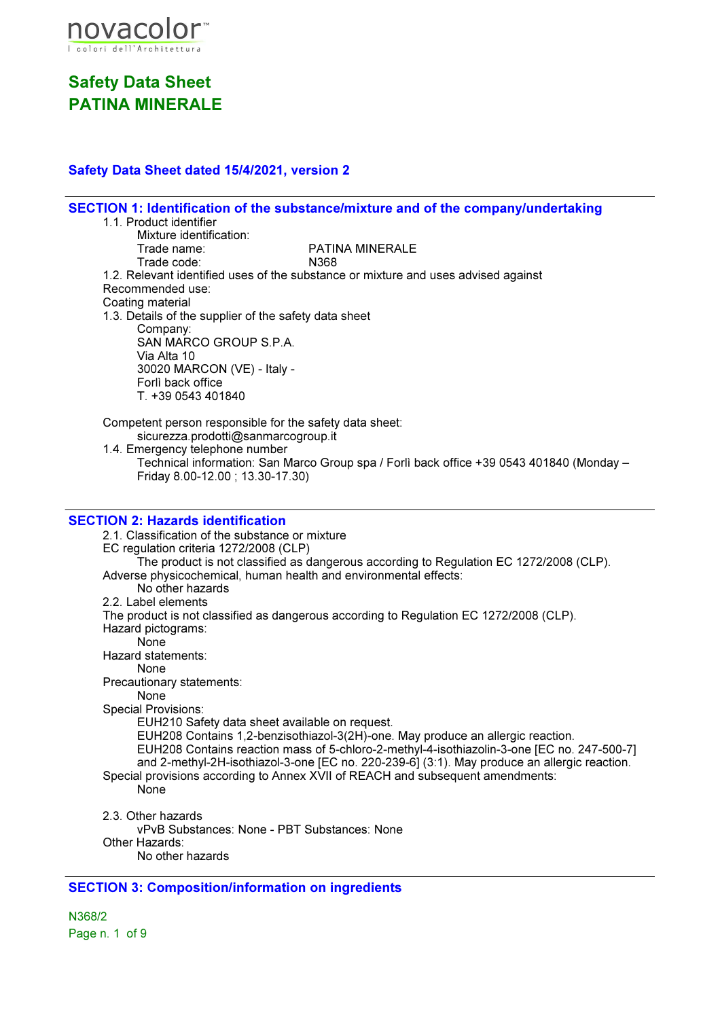

#### Safety Data Sheet dated 15/4/2021, version 2

SECTION 1: Identification of the substance/mixture and of the company/undertaking 1.1. Product identifier Mixture identification:<br>Trade name: PATINA MINERALE Trade code: N368 1.2. Relevant identified uses of the substance or mixture and uses advised against Recommended use: Coating material 1.3. Details of the supplier of the safety data sheet Company: SAN MARCO GROUP S.P.A. Via Alta 10 30020 MARCON (VE) - Italy - Forlì back office T. +39 0543 401840 Competent person responsible for the safety data sheet: sicurezza.prodotti@sanmarcogroup.it 1.4. Emergency telephone number Technical information: San Marco Group spa / Forlì back office +39 0543 401840 (Monday – Friday 8.00-12.00 ; 13.30-17.30) SECTION 2: Hazards identification 2.1. Classification of the substance or mixture EC regulation criteria 1272/2008 (CLP) The product is not classified as dangerous according to Regulation EC 1272/2008 (CLP). Adverse physicochemical, human health and environmental effects: No other hazards 2.2. Label elements The product is not classified as dangerous according to Regulation EC 1272/2008 (CLP). Hazard pictograms: None Hazard statements: None Precautionary statements: None Special Provisions: EUH210 Safety data sheet available on request. EUH208 Contains 1,2-benzisothiazol-3(2H)-one. May produce an allergic reaction. EUH208 Contains reaction mass of 5-chloro-2-methyl-4-isothiazolin-3-one [EC no. 247-500-7] and 2-methyl-2H-isothiazol-3-one [EC no. 220-239-6] (3:1). May produce an allergic reaction. Special provisions according to Annex XVII of REACH and subsequent amendments: None 2.3. Other hazards vPvB Substances: None - PBT Substances: None Other Hazards: No other hazards SECTION 3: Composition/information on ingredients

N368/2 Page n. 1 of 9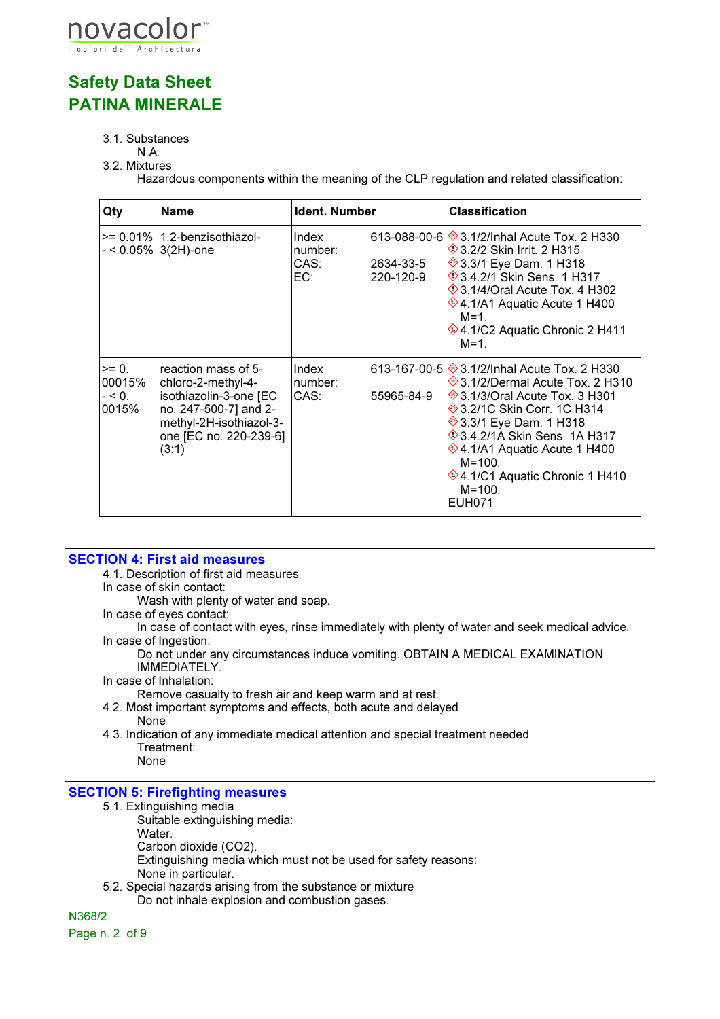

#### 3.1. Substances

#### N.A. 3.2. Mixtures

Hazardous components within the meaning of the CLP regulation and related classification:

| Qty                                    | <b>Name</b>                                                                                                                                                | Ident. Number                   |                        | <b>Classification</b>                                                                                                                                                                                                                                                                                                                                               |
|----------------------------------------|------------------------------------------------------------------------------------------------------------------------------------------------------------|---------------------------------|------------------------|---------------------------------------------------------------------------------------------------------------------------------------------------------------------------------------------------------------------------------------------------------------------------------------------------------------------------------------------------------------------|
|                                        | $>= 0.01\%$   1,2-benzisothiazol-<br>- < 0.05% 3(2H)-one                                                                                                   | Index<br>number:<br>CAS:<br>EC: | 2634-33-5<br>220-120-9 | 613-088-00-6 ♦ 3.1/2/Inhal Acute Tox, 2 H330<br><b>1</b> 3.2/2 Skin Irrit. 2 H315<br>→ 3.3/1 Eye Dam. 1 H318<br>$\Diamond$ 3.4.2/1 Skin Sens. 1 H317<br>$\Diamond$ 3.1/4/Oral Acute Tox. 4 H302<br>$*$ 4.1/A1 Aquatic Acute 1 H400<br>$M = 1$<br>$\circledast$ 4.1/C2 Aquatic Chronic 2 H411<br>$M=1$ .                                                             |
| $= 0$ .<br>00015%<br>$- < 0.$<br>0015% | reaction mass of 5-<br>chloro-2-methyl-4-<br>isothiazolin-3-one [EC<br>no. 247-500-7] and 2-<br>methyl-2H-isothiazol-3-<br>one [EC no. 220-239-6]<br>(3:1) | Index<br>number:<br>CAS:        | 55965-84-9             | 613-167-00-5 → 3.1/2/Inhal Acute Tox. 2 H330<br>→ 3.1/2/Dermal Acute Tox. 2 H310<br><b>♦ 3.1/3/Oral Acute Tox. 3 H301</b><br><b>♦ 3.2/1C Skin Corr. 1C H314</b><br><b>→ 3.3/1 Eye Dam. 1 H318</b><br>$\Diamond$ 3.4.2/1A Skin Sens. 1A H317<br>♦4.1/A1 Aquatic Acute 1 H400<br>$M = 100$ .<br><b>♦4.1/C1 Aquatic Chronic 1 H410</b><br>$M = 100$ .<br><b>EUH071</b> |

#### SECTION 4: First aid measures

4.1. Description of first aid measures

In case of skin contact:

Wash with plenty of water and soap.

In case of eyes contact:

In case of contact with eyes, rinse immediately with plenty of water and seek medical advice. In case of Ingestion:

Do not under any circumstances induce vomiting. OBTAIN A MEDICAL EXAMINATION IMMEDIATELY.

In case of Inhalation:

Remove casualty to fresh air and keep warm and at rest.

- 4.2. Most important symptoms and effects, both acute and delayed None
- 4.3. Indication of any immediate medical attention and special treatment needed Treatment: None

#### SECTION 5: Firefighting measures

5.1. Extinguishing media

Suitable extinguishing media:

- Water.
- Carbon dioxide (CO2).
- Extinguishing media which must not be used for safety reasons: None in particular.
- 5.2. Special hazards arising from the substance or mixture

Do not inhale explosion and combustion gases.

N368/2

Page n. 2 of 9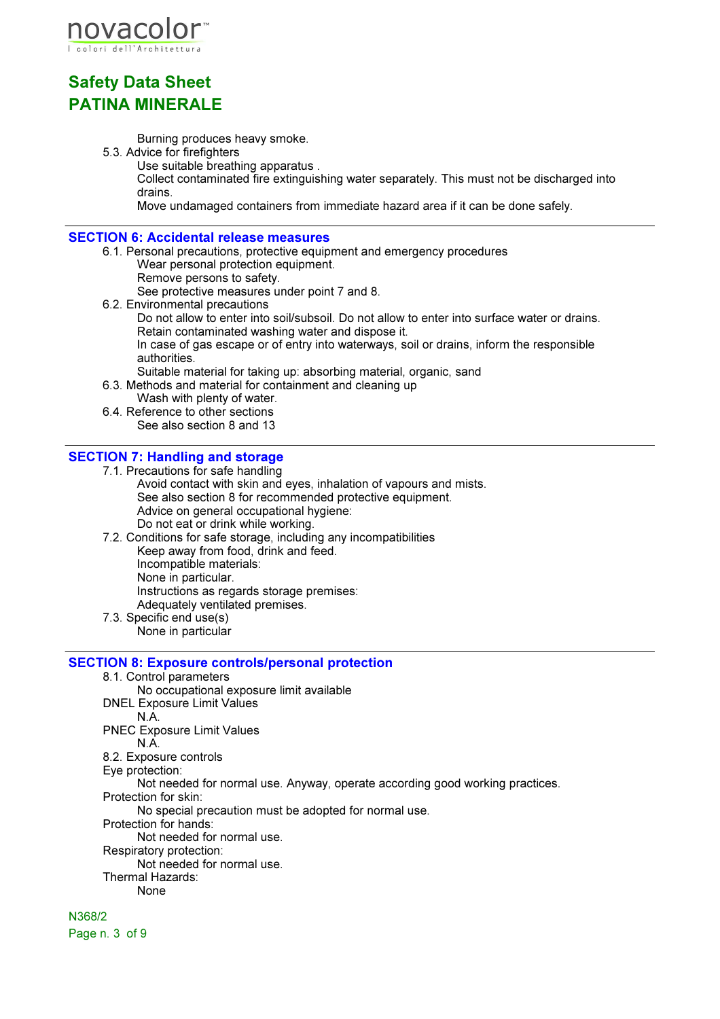

Burning produces heavy smoke.

5.3. Advice for firefighters

Use suitable breathing apparatus . Collect contaminated fire extinguishing water separately. This must not be discharged into drains.

Move undamaged containers from immediate hazard area if it can be done safely.

#### SECTION 6: Accidental release measures

6.1. Personal precautions, protective equipment and emergency procedures Wear personal protection equipment. Remove persons to safety. See protective measures under point 7 and 8. 6.2. Environmental precautions Do not allow to enter into soil/subsoil. Do not allow to enter into surface water or drains. Retain contaminated washing water and dispose it. In case of gas escape or of entry into waterways, soil or drains, inform the responsible authorities. Suitable material for taking up: absorbing material, organic, sand

- 6.3. Methods and material for containment and cleaning up
- Wash with plenty of water. 6.4. Reference to other sections
	- See also section 8 and 13

#### SECTION 7: Handling and storage

- 7.1. Precautions for safe handling
	- Avoid contact with skin and eyes, inhalation of vapours and mists. See also section 8 for recommended protective equipment. Advice on general occupational hygiene: Do not eat or drink while working.
- 7.2. Conditions for safe storage, including any incompatibilities Keep away from food, drink and feed. Incompatible materials: None in particular. Instructions as regards storage premises: Adequately ventilated premises. 7.3. Specific end use(s)
- None in particular

#### SECTION 8: Exposure controls/personal protection

8.1. Control parameters

- No occupational exposure limit available
- DNEL Exposure Limit Values
	- N.A.

PNEC Exposure Limit Values

- N.A.
- 8.2. Exposure controls
- Eye protection:

Not needed for normal use. Anyway, operate according good working practices.

Protection for skin:

No special precaution must be adopted for normal use.

- Protection for hands:
	- Not needed for normal use.
- Respiratory protection:
	- Not needed for normal use.
- Thermal Hazards:
	- None

N368/2 Page n. 3 of 9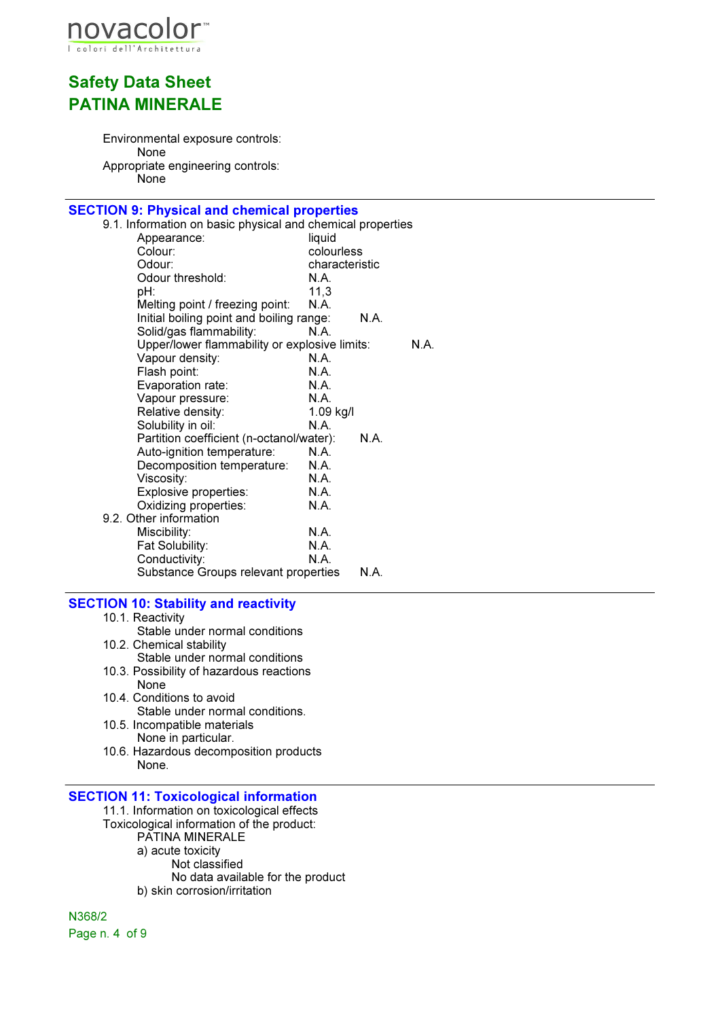

Environmental exposure controls: None Appropriate engineering controls: None

## **SECTION 9: Physical and chemical properties**<br>9.1. Information on basic physical and chemical

| <u>1011 011 11701001 0110 01101111001 proportioo</u>       |                |      |      |
|------------------------------------------------------------|----------------|------|------|
| 9.1. Information on basic physical and chemical properties |                |      |      |
| Appearance:                                                | liquid         |      |      |
| Colour:                                                    | colourless     |      |      |
| Odour:                                                     | characteristic |      |      |
| Odour threshold:                                           | N.A.           |      |      |
| pH:                                                        | 11,3           |      |      |
| Melting point / freezing point:                            | N.A.           |      |      |
| Initial boiling point and boiling range:                   |                | N.A. |      |
| Solid/gas flammability:                                    | N.A.           |      |      |
| Upper/lower flammability or explosive limits:              |                |      | N.A. |
| Vapour density:                                            | N.A.           |      |      |
| Flash point:                                               | N.A.           |      |      |
| Evaporation rate:                                          | N.A.           |      |      |
| Vapour pressure:                                           | N.A.           |      |      |
| Relative density:                                          | 1.09 kg/l      |      |      |
| Solubility in oil:                                         | N.A.           |      |      |
| Partition coefficient (n-octanol/water):                   |                | N.A. |      |
| Auto-ignition temperature:                                 | N.A.           |      |      |
| Decomposition temperature:                                 | N.A.           |      |      |
| Viscosity:                                                 | N.A.           |      |      |
| Explosive properties:                                      | N.A.           |      |      |
| Oxidizing properties:                                      | N.A.           |      |      |
| 9.2. Other information                                     |                |      |      |
| Miscibility:                                               | N.A.           |      |      |
| Fat Solubility:                                            | <b>N.A.</b>    |      |      |
| Conductivity:                                              | N.A.           |      |      |
| Substance Groups relevant properties                       |                | N.A. |      |
|                                                            |                |      |      |

#### SECTION 10: Stability and reactivity

- 10.1. Reactivity
- Stable under normal conditions 10.2. Chemical stability Stable under normal conditions
- 10.3. Possibility of hazardous reactions None
- 10.4. Conditions to avoid Stable under normal conditions.
- 10.5. Incompatible materials None in particular.
- 10.6. Hazardous decomposition products None.

#### SECTION 11: Toxicological information

- 11.1. Information on toxicological effects Toxicological information of the product: PATINA MINERALE
	- a) acute toxicity
		- Not classified
		- No data available for the product
	- b) skin corrosion/irritation

N368/2 Page n. 4 of 9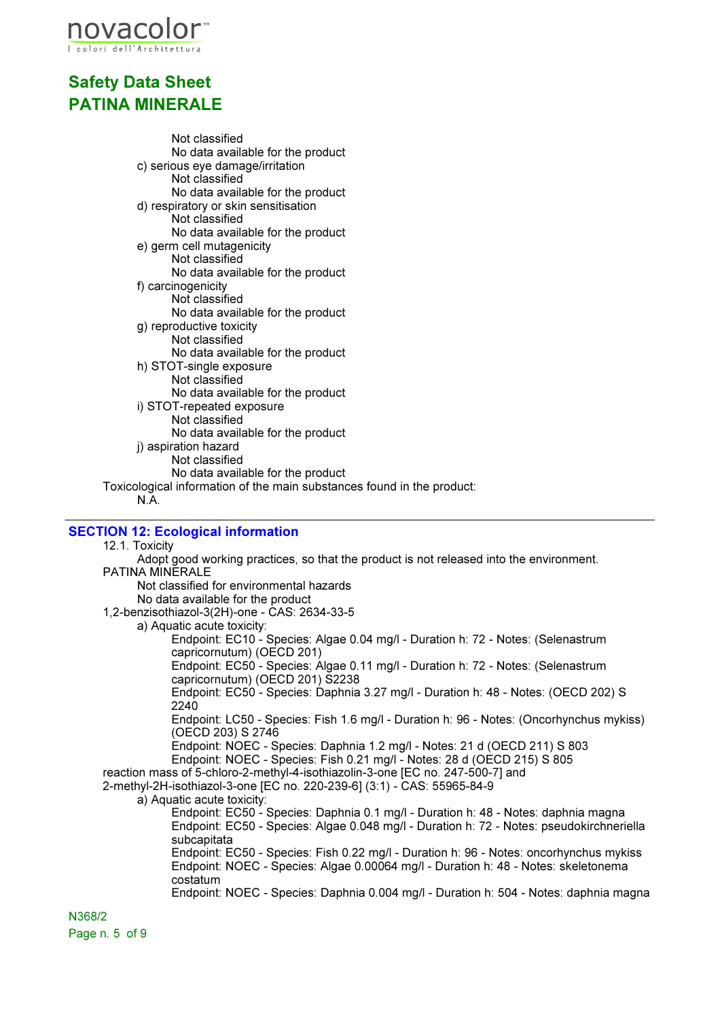

Not classified No data available for the product c) serious eye damage/irritation Not classified No data available for the product d) respiratory or skin sensitisation Not classified No data available for the product e) germ cell mutagenicity Not classified No data available for the product f) carcinogenicity Not classified No data available for the product g) reproductive toxicity Not classified No data available for the product h) STOT-single exposure Not classified No data available for the product i) STOT-repeated exposure Not classified No data available for the product j) aspiration hazard Not classified No data available for the product Toxicological information of the main substances found in the product:

N.A.

#### SECTION 12: Ecological information

12.1. Toxicity

Adopt good working practices, so that the product is not released into the environment. PATINA MINERALE Not classified for environmental hazards No data available for the product 1,2-benzisothiazol-3(2H)-one - CAS: 2634-33-5 a) Aquatic acute toxicity: Endpoint: EC10 - Species: Algae 0.04 mg/l - Duration h: 72 - Notes: (Selenastrum capricornutum) (OECD 201) Endpoint: EC50 - Species: Algae 0.11 mg/l - Duration h: 72 - Notes: (Selenastrum capricornutum) (OECD 201) S2238 Endpoint: EC50 - Species: Daphnia 3.27 mg/l - Duration h: 48 - Notes: (OECD 202) S 2240 Endpoint: LC50 - Species: Fish 1.6 mg/l - Duration h: 96 - Notes: (Oncorhynchus mykiss) (OECD 203) S 2746 Endpoint: NOEC - Species: Daphnia 1.2 mg/l - Notes: 21 d (OECD 211) S 803 Endpoint: NOEC - Species: Fish 0.21 mg/l - Notes: 28 d (OECD 215) S 805 reaction mass of 5-chloro-2-methyl-4-isothiazolin-3-one [EC no. 247-500-7] and 2-methyl-2H-isothiazol-3-one [EC no. 220-239-6] (3:1) - CAS: 55965-84-9 a) Aquatic acute toxicity: Endpoint: EC50 - Species: Daphnia 0.1 mg/l - Duration h: 48 - Notes: daphnia magna Endpoint: EC50 - Species: Algae 0.048 mg/l - Duration h: 72 - Notes: pseudokirchneriella subcapitata Endpoint: EC50 - Species: Fish 0.22 mg/l - Duration h: 96 - Notes: oncorhynchus mykiss Endpoint: NOEC - Species: Algae 0.00064 mg/l - Duration h: 48 - Notes: skeletonema costatum Endpoint: NOEC - Species: Daphnia 0.004 mg/l - Duration h: 504 - Notes: daphnia magna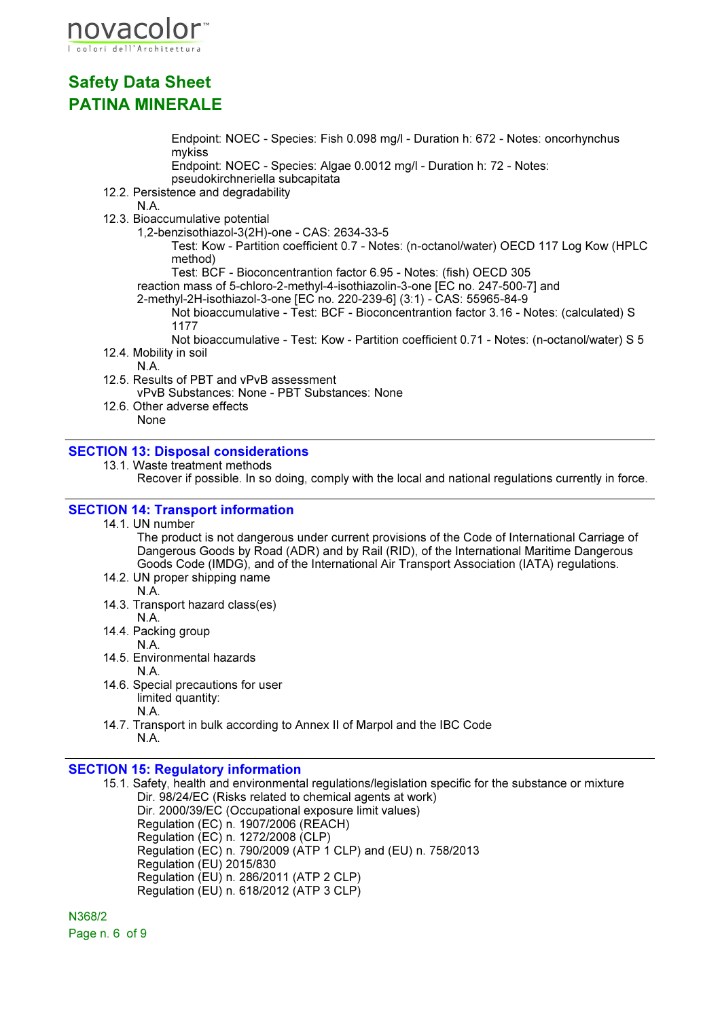

Endpoint: NOEC - Species: Fish 0.098 mg/l - Duration h: 672 - Notes: oncorhynchus mykiss

Endpoint: NOEC - Species: Algae 0.0012 mg/l - Duration h: 72 - Notes: pseudokirchneriella subcapitata

12.2. Persistence and degradability

N.A.

12.3. Bioaccumulative potential

1,2-benzisothiazol-3(2H)-one - CAS: 2634-33-5

Test: Kow - Partition coefficient 0.7 - Notes: (n-octanol/water) OECD 117 Log Kow (HPLC method)

Test: BCF - Bioconcentrantion factor 6.95 - Notes: (fish) OECD 305

reaction mass of 5-chloro-2-methyl-4-isothiazolin-3-one [EC no. 247-500-7] and

2-methyl-2H-isothiazol-3-one [EC no. 220-239-6] (3:1) - CAS: 55965-84-9

Not bioaccumulative - Test: BCF - Bioconcentrantion factor 3.16 - Notes: (calculated) S 1177

Not bioaccumulative - Test: Kow - Partition coefficient 0.71 - Notes: (n-octanol/water) S 5 12.4. Mobility in soil

N.A.

12.5. Results of PBT and vPvB assessment

vPvB Substances: None - PBT Substances: None

12.6. Other adverse effects None

#### SECTION 13: Disposal considerations

13.1. Waste treatment methods

Recover if possible. In so doing, comply with the local and national regulations currently in force.

#### SECTION 14: Transport information

#### 14.1. UN number

The product is not dangerous under current provisions of the Code of International Carriage of Dangerous Goods by Road (ADR) and by Rail (RID), of the International Maritime Dangerous Goods Code (IMDG), and of the International Air Transport Association (IATA) regulations.

- 14.2. UN proper shipping name N.A.
- 14.3. Transport hazard class(es) N.A.
- 14.4. Packing group
	- N.A.
- 14.5. Environmental hazards N.A.
- 14.6. Special precautions for user limited quantity: N.A.
- 14.7. Transport in bulk according to Annex II of Marpol and the IBC Code N.A.

#### SECTION 15: Regulatory information

15.1. Safety, health and environmental regulations/legislation specific for the substance or mixture Dir. 98/24/EC (Risks related to chemical agents at work) Dir. 2000/39/EC (Occupational exposure limit values) Regulation (EC) n. 1907/2006 (REACH) Regulation (EC) n. 1272/2008 (CLP) Regulation (EC) n. 790/2009 (ATP 1 CLP) and (EU) n. 758/2013 Regulation (EU) 2015/830 Regulation (EU) n. 286/2011 (ATP 2 CLP) Regulation (EU) n. 618/2012 (ATP 3 CLP)

N368/2 Page n. 6 of 9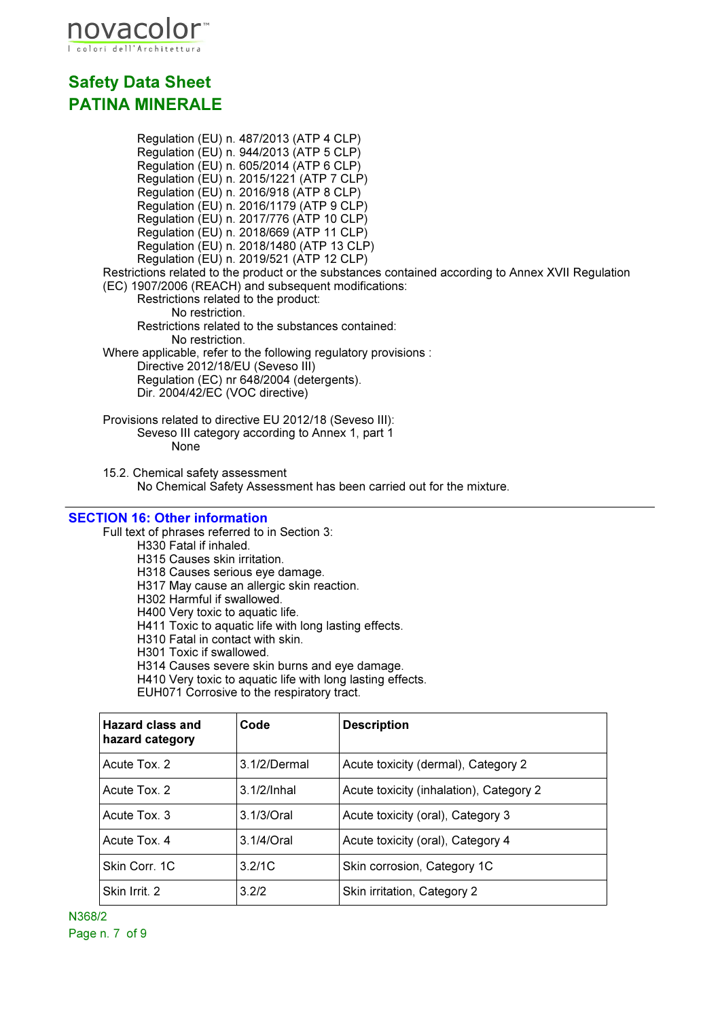

Regulation (EU) n. 487/2013 (ATP 4 CLP) Regulation (EU) n. 944/2013 (ATP 5 CLP) Regulation (EU) n. 605/2014 (ATP 6 CLP) Regulation (EU) n. 2015/1221 (ATP 7 CLP) Regulation (EU) n. 2016/918 (ATP 8 CLP) Regulation (EU) n. 2016/1179 (ATP 9 CLP) Regulation (EU) n. 2017/776 (ATP 10 CLP) Regulation (EU) n. 2018/669 (ATP 11 CLP) Regulation (EU) n. 2018/1480 (ATP 13 CLP) Regulation (EU) n. 2019/521 (ATP 12 CLP) Restrictions related to the product or the substances contained according to Annex XVII Regulation (EC) 1907/2006 (REACH) and subsequent modifications: Restrictions related to the product: No restriction. Restrictions related to the substances contained: No restriction. Where applicable, refer to the following regulatory provisions : Directive 2012/18/EU (Seveso III) Regulation (EC) nr 648/2004 (detergents). Dir. 2004/42/EC (VOC directive) Provisions related to directive EU 2012/18 (Seveso III): Seveso III category according to Annex 1, part 1 None

15.2. Chemical safety assessment No Chemical Safety Assessment has been carried out for the mixture.

#### SECTION 16: Other information

Full text of phrases referred to in Section 3:

H330 Fatal if inhaled.

- H315 Causes skin irritation.
- H318 Causes serious eye damage.
- H317 May cause an allergic skin reaction.
- H302 Harmful if swallowed.
- H400 Very toxic to aquatic life.
- H411 Toxic to aquatic life with long lasting effects.
- H310 Fatal in contact with skin.
- H301 Toxic if swallowed.
- H314 Causes severe skin burns and eye damage.
- H410 Very toxic to aquatic life with long lasting effects.

EUH071 Corrosive to the respiratory tract.

| Hazard class and<br>hazard category | Code           | <b>Description</b>                      |
|-------------------------------------|----------------|-----------------------------------------|
| Acute Tox. 2                        | 3.1/2/Dermal   | Acute toxicity (dermal), Category 2     |
| Acute Tox. 2                        | $3.1/2$ /Inhal | Acute toxicity (inhalation), Category 2 |
| Acute Tox. 3                        | $3.1/3$ /Oral  | Acute toxicity (oral), Category 3       |
| Acute Tox. 4                        | 3.1/4/Oral     | Acute toxicity (oral), Category 4       |
| Skin Corr. 1C                       | 3.2/1C         | Skin corrosion, Category 1C             |
| Skin Irrit. 2                       | 3.2/2          | Skin irritation, Category 2             |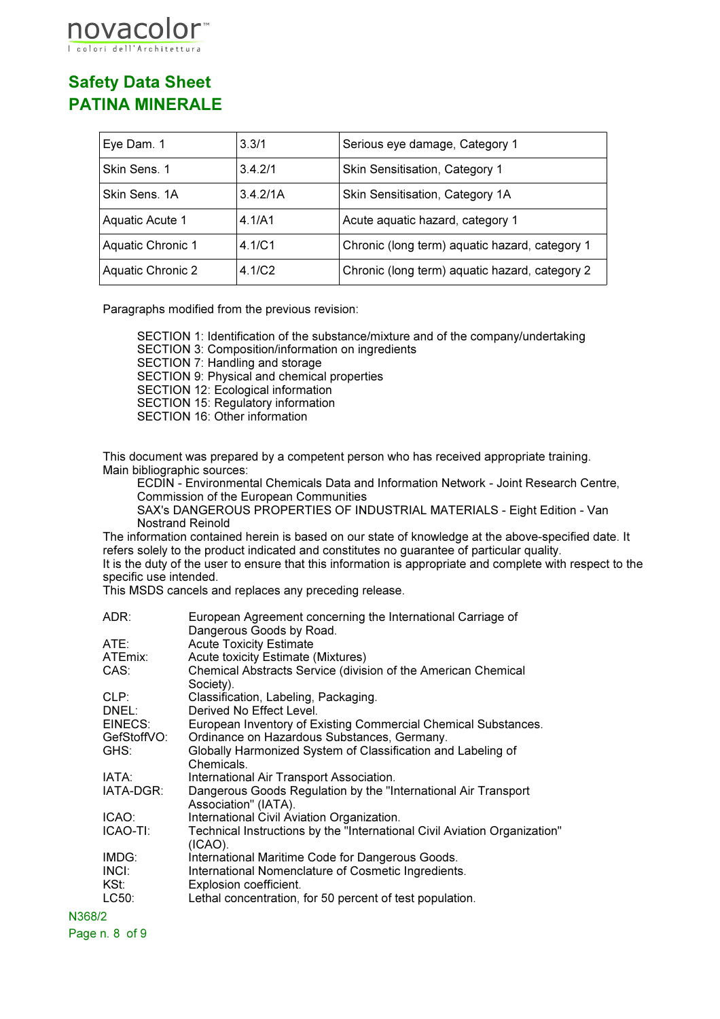# ovaco

## Safety Data Sheet PATINA MINERALE

| Eye Dam. 1        | 3.3/1    | Serious eye damage, Category 1                 |
|-------------------|----------|------------------------------------------------|
| Skin Sens. 1      | 3.4.2/1  | Skin Sensitisation, Category 1                 |
| Skin Sens, 1A     | 3.4.2/1A | Skin Sensitisation, Category 1A                |
| Aquatic Acute 1   | 4.1/A1   | Acute aquatic hazard, category 1               |
| Aquatic Chronic 1 | 4.1/C1   | Chronic (long term) aquatic hazard, category 1 |
| Aquatic Chronic 2 | 4.1/C2   | Chronic (long term) aquatic hazard, category 2 |

Paragraphs modified from the previous revision:

SECTION 1: Identification of the substance/mixture and of the company/undertaking SECTION 3: Composition/information on ingredients SECTION 7: Handling and storage SECTION 9: Physical and chemical properties SECTION 12: Ecological information SECTION 15: Regulatory information SECTION 16: Other information

This document was prepared by a competent person who has received appropriate training. Main bibliographic sources:

ECDIN - Environmental Chemicals Data and Information Network - Joint Research Centre, Commission of the European Communities

SAX's DANGEROUS PROPERTIES OF INDUSTRIAL MATERIALS - Eight Edition - Van Nostrand Reinold

The information contained herein is based on our state of knowledge at the above-specified date. It refers solely to the product indicated and constitutes no guarantee of particular quality. It is the duty of the user to ensure that this information is appropriate and complete with respect to the specific use intended.

This MSDS cancels and replaces any preceding release.

| ADR:                   | European Agreement concerning the International Carriage of<br>Dangerous Goods by Road.                       |
|------------------------|---------------------------------------------------------------------------------------------------------------|
| ATE:                   | <b>Acute Toxicity Estimate</b>                                                                                |
| ATEmix:                | <b>Acute toxicity Estimate (Mixtures)</b>                                                                     |
| CAS:                   | Chemical Abstracts Service (division of the American Chemical<br>Society).                                    |
| CLP:                   | Classification, Labeling, Packaging.                                                                          |
| DNEL:                  | Derived No Effect Level.                                                                                      |
| EINECS:<br>GefStoffVO: | European Inventory of Existing Commercial Chemical Substances.<br>Ordinance on Hazardous Substances, Germany. |
| GHS:                   | Globally Harmonized System of Classification and Labeling of                                                  |
|                        | Chemicals.                                                                                                    |
| IATA:                  | International Air Transport Association.                                                                      |
| IATA-DGR:              | Dangerous Goods Regulation by the "International Air Transport<br>Association" (IATA).                        |
| ICAO:                  | International Civil Aviation Organization.                                                                    |
| ICAO-TI:               | Technical Instructions by the "International Civil Aviation Organization"<br>$(ICAO)$ .                       |
| IMDG:                  | International Maritime Code for Dangerous Goods.                                                              |
| INCI:<br>KSt: I        | International Nomenclature of Cosmetic Ingredients.<br>Explosion coefficient.                                 |
| LC50:                  | Lethal concentration, for 50 percent of test population.                                                      |
|                        |                                                                                                               |

N368/2 Page n. 8 of 9